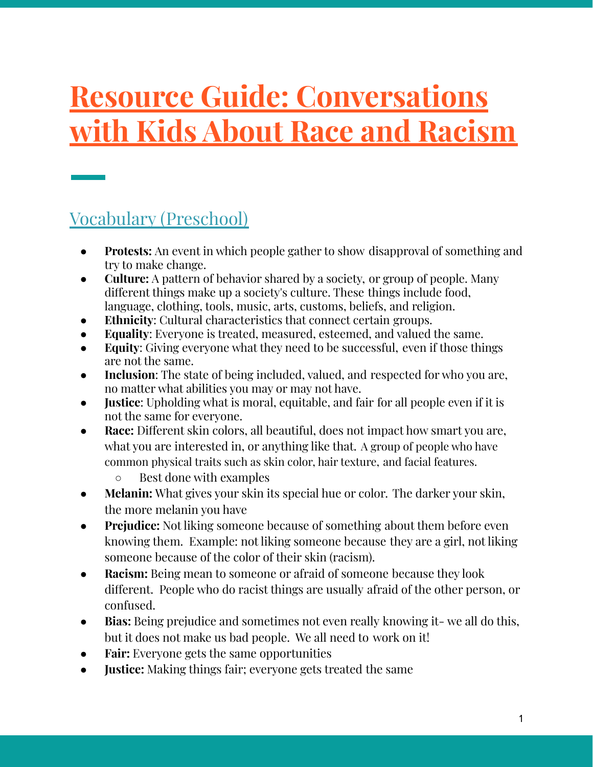# **Resource Guide: Conversations with Kids About Race and Racism**

# Vocabulary (Preschool)

- **Protests:** An event in which people gather to show disapproval of something and try to make change.
- **Culture:** A pattern of behavior shared by a society, or group of people. Many different things make up a society's culture. These things include food, language, clothing, tools, music, arts, customs, beliefs, and religion.
- **Ethnicity**: Cultural characteristics that connect certain groups.
- **Equality**: Everyone is treated, measured, esteemed, and valued the same.
- **Equity:** Giving everyone what they need to be successful, even if those things are not the same.
- **Inclusion**: The state of being included, valued, and respected for who you are, no matter what abilities you may or may not have.
- **Justice**: Upholding what is moral, equitable, and fair for all people even if it is not the same for everyone.
- **Race:** Different skin colors, all beautiful, does not impact how smart you are, what you are interested in, or anything like that. A group of people who have common physical traits such as skin color, hair texture, and facial features.
	- Best done with examples
- **● Melanin:** What gives your skin its special hue or color. The darker your skin, the more melanin you have
- **● Prejudice:** Not liking someone because of something about them before even knowing them. Example: not liking someone because they are a girl, not liking someone because of the color of their skin (racism).
- **Racism:** Being mean to someone or afraid of someone because they look different. People who do racist things are usually afraid of the other person, or confused.
- **Bias:** Being prejudice and sometimes not even really knowing it- we all do this, but it does not make us bad people. We all need to work on it!
- **● Fair:** Everyone gets the same opportunities
- **Justice:** Making things fair; everyone gets treated the same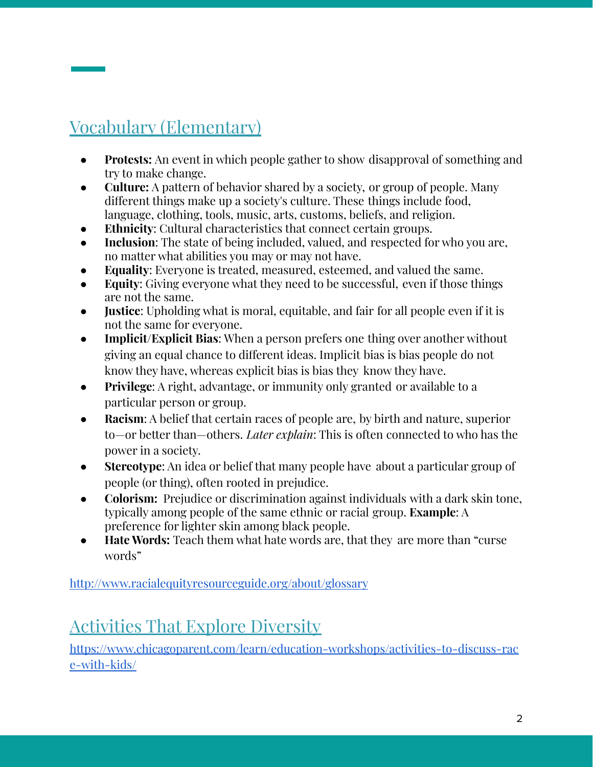# Vocabulary (Elementary)

- **Protests:** An event in which people gather to show disapproval of something and try to make change.
- **Culture:** A pattern of behavior shared by a society, or group of people. Many different things make up a society's culture. These things include food, language, clothing, tools, music, arts, customs, beliefs, and religion.
- **Ethnicity:** Cultural characteristics that connect certain groups.
- **Inclusion:** The state of being included, valued, and respected for who you are, no matter what abilities you may or may not have.
- **Equality:** Everyone is treated, measured, esteemed, and valued the same.
- **Equity:** Giving everyone what they need to be successful, even if those things are not the same.
- **Justice**: Upholding what is moral, equitable, and fair for all people even if it is not the same for everyone.
- **Implicit/Explicit Bias**: When a person prefers one thing over another without giving an equal chance to different ideas. Implicit bias is bias people do not know they have, whereas explicit bias is bias they know they have.
- **Privilege**: A right, advantage, or immunity only granted or available to a particular person or group.
- **Racism:** A belief that certain races of people are, by birth and nature, superior to—or better than—others. *Later explain*: This is often connected to who has the power in a society.
- **Stereotype**: An idea or belief that many people have about a particular group of people (or thing), often rooted in prejudice.
- **Colorism:** Prejudice or discrimination against individuals with a dark skin tone, typically among people of the same ethnic or racial group. **Example**: A preference for lighter skin among black people.
- **Hate Words:** Teach them what hate words are, that they are more than "curse words"

<http://www.racialequityresourceguide.org/about/glossary>

# Activities That Explore Diversity

[https://www.chicagoparent.com/learn/education-workshops/activities-to-discuss-rac](https://www.chicagoparent.com/learn/education-workshops/activities-to-discuss-race-with-kids/) [e-with-kids/](https://www.chicagoparent.com/learn/education-workshops/activities-to-discuss-race-with-kids/)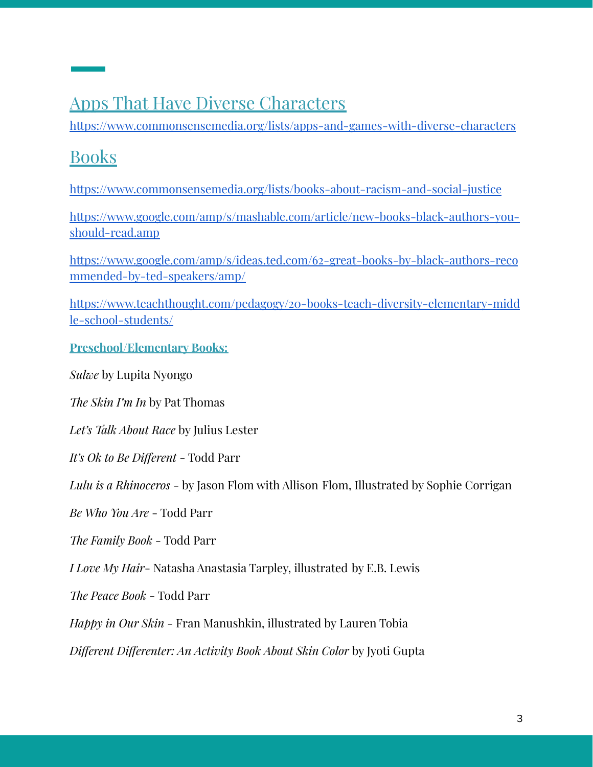### Apps That Have Diverse Characters

<https://www.commonsensemedia.org/lists/apps-and-games-with-diverse-characters>

# **Books**

<https://www.commonsensemedia.org/lists/books-about-racism-and-social-justice>

[https://www.google.com/amp/s/mashable.com/article/new-books-black-authors-you](https://www.google.com/amp/s/mashable.com/article/new-books-black-authors-you-should-read.amp)[should-read.amp](https://www.google.com/amp/s/mashable.com/article/new-books-black-authors-you-should-read.amp)

[https://www.google.com/amp/s/ideas.ted.com/62-great-books-by-black-authors-reco](https://www.google.com/amp/s/ideas.ted.com/62-great-books-by-black-authors-recommended-by-ted-speakers/amp/) [mmended-by-ted-speakers/amp/](https://www.google.com/amp/s/ideas.ted.com/62-great-books-by-black-authors-recommended-by-ted-speakers/amp/)

https://www.teachthought.com/pedagogy/20-books-teach-diversity-elementary-midd le-school-students/

#### **Preschool/Elementary Books:**

*Sulwe* by Lupita Nyongo

*The Skin I'm In* by Pat Thomas

*Let's Talk About Race* by Julius Lester

*It's Ok to Be Different* - Todd Parr

*Lulu is a Rhinoceros* - by Jason Flom with Allison Flom, Illustrated by Sophie Corrigan

*Be Who You Are* - Todd Parr

*The Family Book* - Todd Parr

*I Love My Hair*- Natasha Anastasia Tarpley, illustrated by E.B. Lewis

*The Peace Book* - Todd Parr

*Happy in Our Skin* - Fran Manushkin, illustrated by Lauren Tobia

*Different Differenter: An Activity Book About Skin Color* by Jyoti Gupta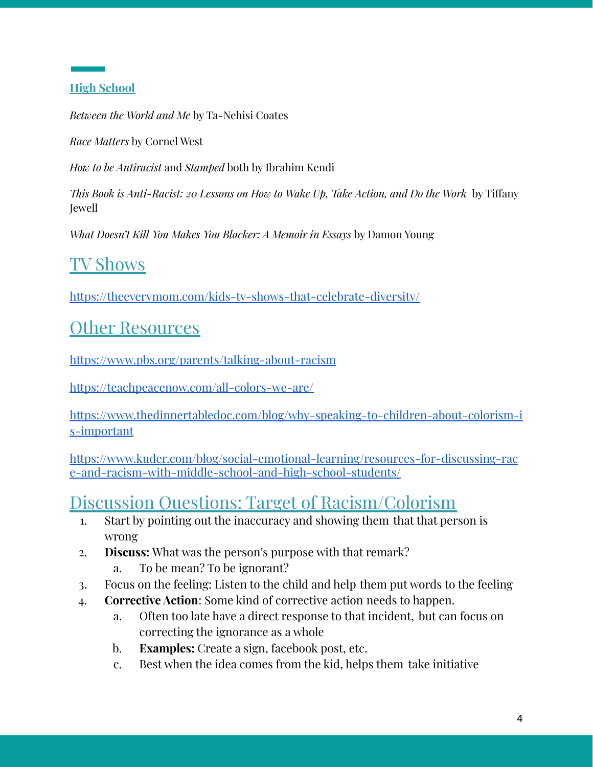#### **High School**

*Between the World and Me* by Ta-Nehisi Coates

*Race Matters* by Cornel West

*How to be Antiracist* and *Stamped* both by Ibrahim Kendi

*This Book is Anti-Racist: 20 Lessons on How to Wake Up, Take Action, and Do the Work* by Tiffany Jewell

*What Doesn't Kill You Makes You Blacker: A Memoir in Essays* by Damon Young

### TV Shows

<https://theeverymom.com/kids-tv-shows-that-celebrate-diversity/>

### **Other Resources**

<https://www.pbs.org/parents/talking-about-racism>

<https://teachpeacenow.com/all-colors-we-are/>

[https://www.thedinnertabledoc.com/blog/why-speaking-to-children-about-colorism-i](https://www.thedinnertabledoc.com/blog/why-speaking-to-children-about-colorism-is-important) [s-important](https://www.thedinnertabledoc.com/blog/why-speaking-to-children-about-colorism-is-important)

[https://www.kuder.com/blog/social-emotional-learning/resources-for-discussing-rac](https://www.kuder.com/blog/social-emotional-learning/resources-for-discussing-race-and-racism-with-middle-school-and-high-school-students/) [e-and-racism-with-middle-school-and-high-school-students/](https://www.kuder.com/blog/social-emotional-learning/resources-for-discussing-race-and-racism-with-middle-school-and-high-school-students/)

### Discussion Questions: Target of Racism/Colorism

- 1. Start by pointing out the inaccuracy and showing them that that person is wrong
- 2. **Discuss:** What was the person's purpose with that remark?
	- a. To be mean? To be ignorant?
- 3. Focus on the feeling: Listen to the child and help them put words to the feeling
- 4. **Corrective Action**: Some kind of corrective action needs to happen.
	- a. Often too late have a direct response to that incident, but can focus on correcting the ignorance as a whole
	- b. **Examples:** Create a sign, facebook post, etc.
	- c. Best when the idea comes from the kid, helps them take initiative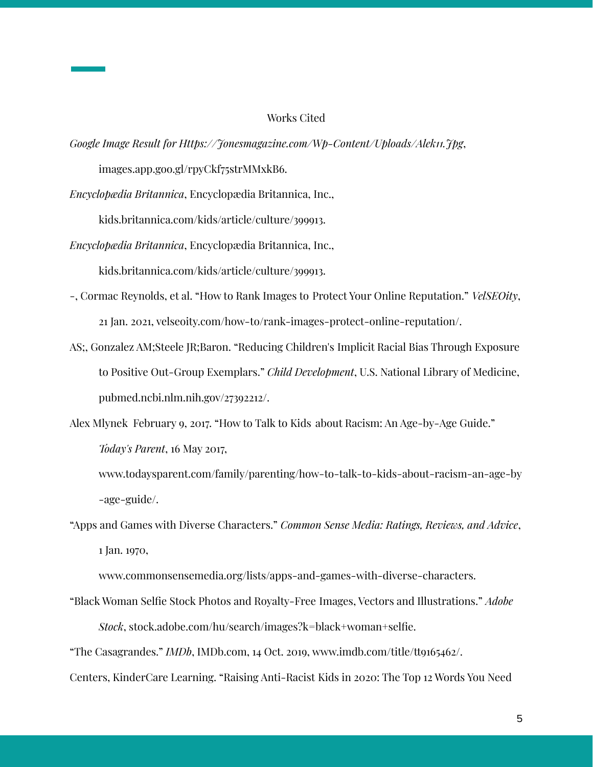#### Works Cited

*Google Image Result for Https://Jonesmagazine.com/Wp-Content/Uploads/Alek11.Jpg*,

images.app.goo.gl/rpyCkf75strMMxkB6.

*Encyclopædia Britannica*, Encyclopædia Britannica, Inc.,

kids.britannica.com/kids/article/culture/399913.

*Encyclopædia Britannica*, Encyclopædia Britannica, Inc.,

kids.britannica.com/kids/article/culture/399913.

- -, Cormac Reynolds, et al. "How to Rank Images to Protect Your Online Reputation." *VelSEOity*, 21 Jan. 2021, velseoity.com/how-to/rank-images-protect-online-reputation/.
- AS;, Gonzalez AM;Steele JR;Baron. "Reducing Children's Implicit Racial Bias Through Exposure to Positive Out-Group Exemplars." *Child Development*, U.S. National Library of Medicine, pubmed.ncbi.nlm.nih.gov/27392212/.

Alex Mlynek February 9, 2017. "How to Talk to Kids about Racism: An Age-by-Age Guide." *Today's Parent*, 16 May 2017,

www.todaysparent.com/family/parenting/how-to-talk-to-kids-about-racism-an-age-by -age-guide/.

"Apps and Games with Diverse Characters." *Common Sense Media: Ratings, Reviews, and Advice*, 1 Jan. 1970,

www.commonsensemedia.org/lists/apps-and-games-with-diverse-characters.

"Black Woman Selfie Stock Photos and Royalty-Free Images, Vectors and Illustrations." *Adobe Stock*, stock.adobe.com/hu/search/images?k=black+woman+selfie.

"The Casagrandes." *IMDb*, IMDb.com, 14 Oct. 2019, www.imdb.com/title/tt9165462/.

Centers, KinderCare Learning. "Raising Anti-Racist Kids in 2020: The Top 12 Words You Need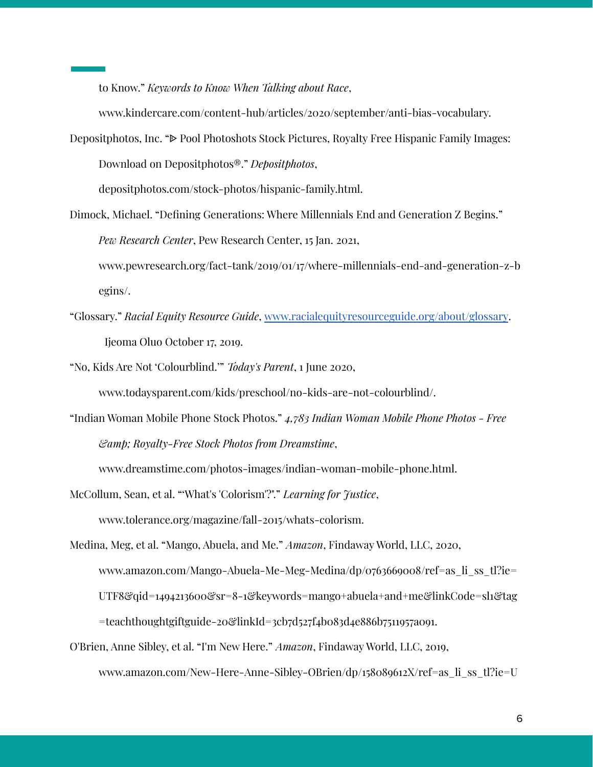to Know." *Keywords to Know When Talking about Race*,

www.kindercare.com/content-hub/articles/2020/september/anti-bias-vocabulary.

Depositphotos, Inc. " $\triangleright$  Pool Photoshots Stock Pictures, Royalty Free Hispanic Family Images: Download on Depositphotos®." *Depositphotos*,

depositphotos.com/stock-photos/hispanic-family.html.

- Dimock, Michael. "Defining Generations: Where Millennials End and Generation Z Begins." *Pew Research Center*, Pew Research Center, 15 Jan. 2021, www.pewresearch.org/fact-tank/2019/01/17/where-millennials-end-and-generation-z-b egins/.
- "Glossary." *Racial Equity Resource Guide*, [www.racialequityresourceguide.org/about/glossary](http://www.racialequityresourceguide.org/about/glossary). Ijeoma Oluo October 17, 2019.

"No, Kids Are Not 'Colourblind.'" *Today's Parent*, 1 June 2020,

www.todaysparent.com/kids/preschool/no-kids-are-not-colourblind/.

"Indian Woman Mobile Phone Stock Photos." *4,783 Indian Woman Mobile Phone Photos - Free & Royalty-Free Stock Photos from Dreamstime*,

www.dreamstime.com/photos-images/indian-woman-mobile-phone.html.

McCollum, Sean, et al. "'What's 'Colorism'?"." *Learning for Justice*,

www.tolerance.org/magazine/fall-2015/whats-colorism.

Medina, Meg, et al. "Mango, Abuela, and Me." *Amazon*, Findaway World, LLC, 2020, www.amazon.com/Mango-Abuela-Me-Meg-Medina/dp/0763669008/ref=as\_li\_ss\_tl?ie= UTF8&qid=1494213600&sr=8-1&keywords=mango+abuela+and+me&linkCode=sl1&tag =teachthoughtgiftguide-20&linkId=3cb7d527f4b083d4e886b7511957a091.

O'Brien, Anne Sibley, et al. "I'm New Here." *Amazon*, Findaway World, LLC, 2019, www.amazon.com/New-Here-Anne-Sibley-OBrien/dp/158089612X/ref=as\_li\_ss\_tl?ie=U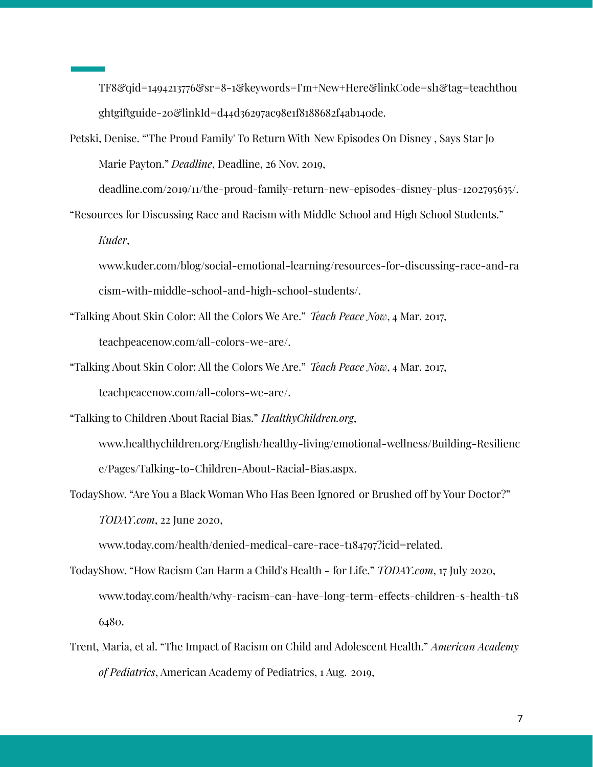TF8&qid=1494213776&sr=8-1&keywords=I'm+New+Here&linkCode=sl1&tag=teachthou ghtgiftguide-20&linkId=d44d36297ac98e1f8188682f4ab140de.

Petski, Denise. "'The Proud Family' To Return With New Episodes On Disney , Says Star Jo Marie Payton." *Deadline*, Deadline, 26 Nov. 2019,

deadline.com/2019/11/the-proud-family-return-new-episodes-disney-plus-1202795635/.

"Resources for Discussing Race and Racism with Middle School and High School Students." *Kuder*,

www.kuder.com/blog/social-emotional-learning/resources-for-discussing-race-and-ra cism-with-middle-school-and-high-school-students/.

- "Talking About Skin Color: All the Colors We Are." *Teach Peace Now*, 4 Mar. 2017, teachpeacenow.com/all-colors-we-are/.
- "Talking About Skin Color: All the Colors We Are." *Teach Peace Now*, 4 Mar. 2017, teachpeacenow.com/all-colors-we-are/.

"Talking to Children About Racial Bias." *HealthyChildren.org*,

www.healthychildren.org/English/healthy-living/emotional-wellness/Building-Resilienc e/Pages/Talking-to-Children-About-Racial-Bias.aspx.

TodayShow. "Are You a Black Woman Who Has Been Ignored or Brushed off by Your Doctor?" *TODAY.com*, 22 June 2020,

www.today.com/health/denied-medical-care-race-t184797?icid=related.

- TodayShow. "How Racism Can Harm a Child's Health for Life." *TODAY.com*, 17 July 2020, www.today.com/health/why-racism-can-have-long-term-effects-children-s-health-t18 6480.
- Trent, Maria, et al. "The Impact of Racism on Child and Adolescent Health." *American Academy of Pediatrics*, American Academy of Pediatrics, 1 Aug. 2019,